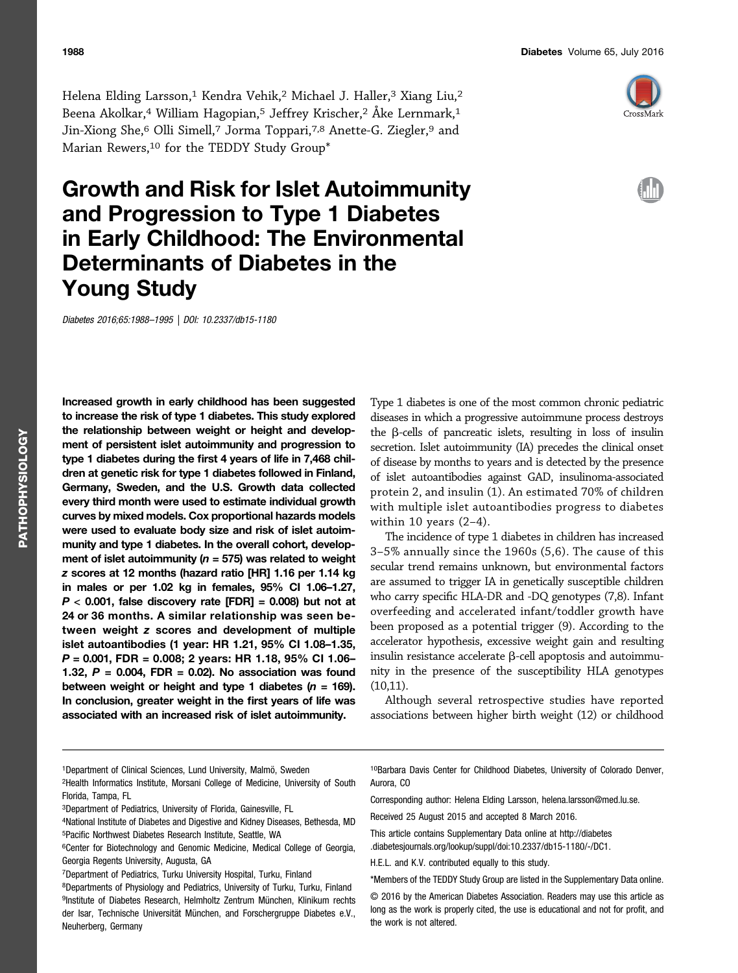

# Growth and Risk for Islet Autoimmunity and Progression to Type 1 Diabetes in Early Childhood: The Environmental Determinants of Diabetes in the Young Study

Diabetes 2016;65:1988–1995 | DOI: 10.2337/db15-1180

Increased growth in early childhood has been suggested to increase the risk of type 1 diabetes. This study explored the relationship between weight or height and development of persistent islet autoimmunity and progression to type 1 diabetes during the first 4 years of life in 7,468 children at genetic risk for type 1 diabetes followed in Finland, Germany, Sweden, and the U.S. Growth data collected every third month were used to estimate individual growth curves by mixed models. Cox proportional hazards models were used to evaluate body size and risk of islet autoimmunity and type 1 diabetes. In the overall cohort, development of islet autoimmunity ( $n = 575$ ) was related to weight z scores at 12 months (hazard ratio [HR] 1.16 per 1.14 kg in males or per 1.02 kg in females, 95% CI 1.06–1.27,  $P < 0.001$ , false discovery rate [FDR] = 0.008) but not at 24 or 36 months. A similar relationship was seen between weight z scores and development of multiple islet autoantibodies (1 year: HR 1.21, 95% CI 1.08–1.35, P = 0.001, FDR = 0.008; 2 years: HR 1.18, 95% CI 1.06– 1.32,  $P = 0.004$ , FDR = 0.02). No association was found between weight or height and type 1 diabetes  $(n = 169)$ . In conclusion, greater weight in the first years of life was associated with an increased risk of islet autoimmunity.

Type 1 diabetes is one of the most common chronic pediatric diseases in which a progressive autoimmune process destroys the  $\beta$ -cells of pancreatic islets, resulting in loss of insulin secretion. Islet autoimmunity (IA) precedes the clinical onset of disease by months to years and is detected by the presence of islet autoantibodies against GAD, insulinoma-associated protein 2, and insulin (1). An estimated 70% of children with multiple islet autoantibodies progress to diabetes within 10 years (2–4).

The incidence of type 1 diabetes in children has increased 3–5% annually since the 1960s (5,6). The cause of this secular trend remains unknown, but environmental factors are assumed to trigger IA in genetically susceptible children who carry specific HLA-DR and -DQ genotypes (7,8). Infant overfeeding and accelerated infant/toddler growth have been proposed as a potential trigger (9). According to the accelerator hypothesis, excessive weight gain and resulting insulin resistance accelerate  $\beta$ -cell apoptosis and autoimmunity in the presence of the susceptibility HLA genotypes (10,11).

Although several retrospective studies have reported associations between higher birth weight (12) or childhood

2Health Informatics Institute, Morsani College of Medicine, University of South Florida, Tampa, FL

10Barbara Davis Center for Childhood Diabetes, University of Colorado Denver, Aurora, CO

Corresponding author: Helena Elding Larsson, [helena.larsson@med.lu.se](mailto:helena.larsson@med.lu.se).

Received 25 August 2015 and accepted 8 March 2016.

This article contains Supplementary Data online at [http://diabetes](http://diabetes.diabetesjournals.org/lookup/suppl/doi:10.2337/db15-1180/-/DC1) [.diabetesjournals.org/lookup/suppl/doi:10.2337/db15-1180/-/DC1.](http://diabetes.diabetesjournals.org/lookup/suppl/doi:10.2337/db15-1180/-/DC1)

H.E.L. and K.V. contributed equally to this study.

\*Members of the TEDDY Study Group are listed in the [Supplementary Data online](http://diabetes.diabetesjournals.org/lookup/suppl/doi:10.2337/db15-1180/-/DC1).

© 2016 by the American Diabetes Association. Readers may use this article as long as the work is properly cited, the use is educational and not for profit, and the work is not altered.

<sup>1</sup>Department of Clinical Sciences, Lund University, Malmö, Sweden

<sup>3</sup>Department of Pediatrics, University of Florida, Gainesville, FL

<sup>4</sup>National Institute of Diabetes and Digestive and Kidney Diseases, Bethesda, MD 5Pacific Northwest Diabetes Research Institute, Seattle, WA

<sup>6</sup>Center for Biotechnology and Genomic Medicine, Medical College of Georgia, Georgia Regents University, Augusta, GA

<sup>7</sup>Department of Pediatrics, Turku University Hospital, Turku, Finland

<sup>8</sup>Departments of Physiology and Pediatrics, University of Turku, Turku, Finland 9Institute of Diabetes Research, Helmholtz Zentrum München, Klinikum rechts der Isar, Technische Universität München, and Forschergruppe Diabetes e.V., Neuherberg, Germany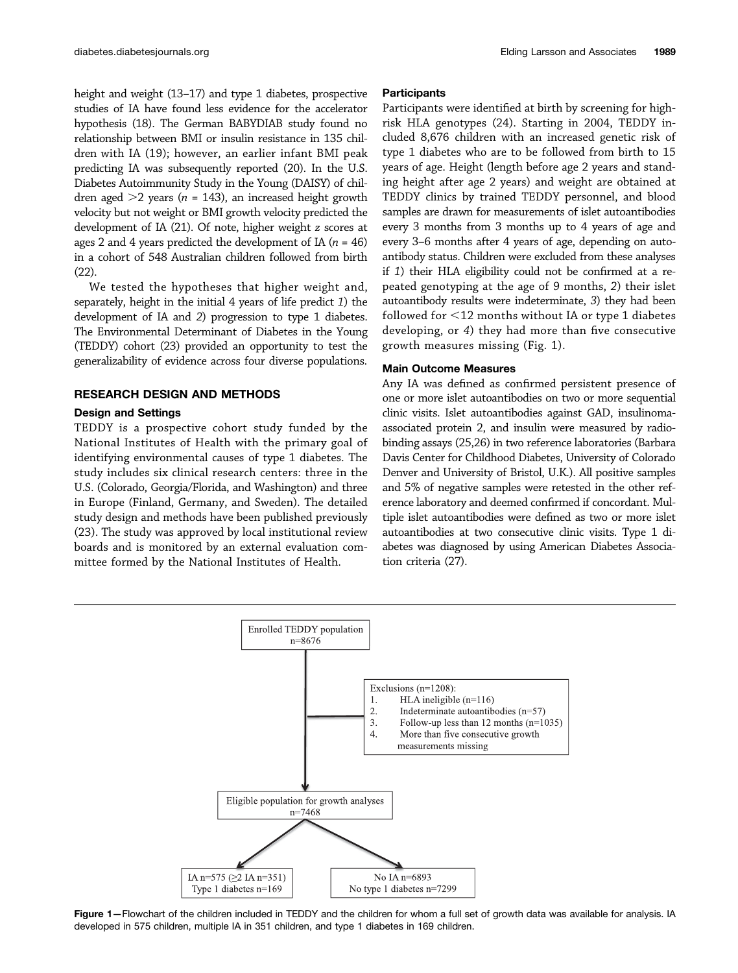height and weight (13–17) and type 1 diabetes, prospective studies of IA have found less evidence for the accelerator hypothesis (18). The German BABYDIAB study found no relationship between BMI or insulin resistance in 135 children with IA (19); however, an earlier infant BMI peak predicting IA was subsequently reported (20). In the U.S. Diabetes Autoimmunity Study in the Young (DAISY) of children aged  $>2$  years (n = 143), an increased height growth velocity but not weight or BMI growth velocity predicted the development of IA (21). Of note, higher weight z scores at ages 2 and 4 years predicted the development of IA ( $n = 46$ ) in a cohort of 548 Australian children followed from birth (22).

We tested the hypotheses that higher weight and, separately, height in the initial 4 years of life predict 1) the development of IA and 2) progression to type 1 diabetes. The Environmental Determinant of Diabetes in the Young (TEDDY) cohort (23) provided an opportunity to test the generalizability of evidence across four diverse populations.

## RESEARCH DESIGN AND METHODS

#### Design and Settings

TEDDY is a prospective cohort study funded by the National Institutes of Health with the primary goal of identifying environmental causes of type 1 diabetes. The study includes six clinical research centers: three in the U.S. (Colorado, Georgia/Florida, and Washington) and three in Europe (Finland, Germany, and Sweden). The detailed study design and methods have been published previously (23). The study was approved by local institutional review boards and is monitored by an external evaluation committee formed by the National Institutes of Health.

## **Participants**

Participants were identified at birth by screening for highrisk HLA genotypes (24). Starting in 2004, TEDDY included 8,676 children with an increased genetic risk of type 1 diabetes who are to be followed from birth to 15 years of age. Height (length before age 2 years and standing height after age 2 years) and weight are obtained at TEDDY clinics by trained TEDDY personnel, and blood samples are drawn for measurements of islet autoantibodies every 3 months from 3 months up to 4 years of age and every 3–6 months after 4 years of age, depending on autoantibody status. Children were excluded from these analyses if 1) their HLA eligibility could not be confirmed at a repeated genotyping at the age of 9 months, 2) their islet autoantibody results were indeterminate, 3) they had been followed for  $<$  12 months without IA or type 1 diabetes developing, or 4) they had more than five consecutive growth measures missing (Fig. 1).

#### Main Outcome Measures

Any IA was defined as confirmed persistent presence of one or more islet autoantibodies on two or more sequential clinic visits. Islet autoantibodies against GAD, insulinomaassociated protein 2, and insulin were measured by radiobinding assays (25,26) in two reference laboratories (Barbara Davis Center for Childhood Diabetes, University of Colorado Denver and University of Bristol, U.K.). All positive samples and 5% of negative samples were retested in the other reference laboratory and deemed confirmed if concordant. Multiple islet autoantibodies were defined as two or more islet autoantibodies at two consecutive clinic visits. Type 1 diabetes was diagnosed by using American Diabetes Association criteria (27).



Figure 1-Flowchart of the children included in TEDDY and the children for whom a full set of growth data was available for analysis. IA developed in 575 children, multiple IA in 351 children, and type 1 diabetes in 169 children.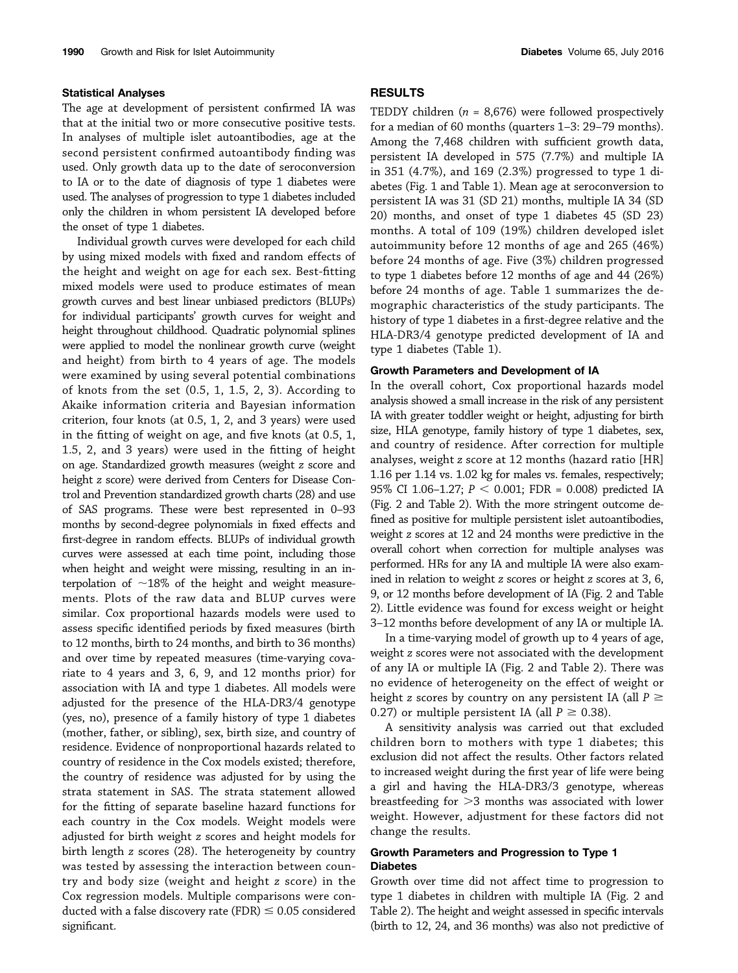## Statistical Analyses

The age at development of persistent confirmed IA was that at the initial two or more consecutive positive tests. In analyses of multiple islet autoantibodies, age at the second persistent confirmed autoantibody finding was used. Only growth data up to the date of seroconversion to IA or to the date of diagnosis of type 1 diabetes were used. The analyses of progression to type 1 diabetes included only the children in whom persistent IA developed before the onset of type 1 diabetes.

Individual growth curves were developed for each child by using mixed models with fixed and random effects of the height and weight on age for each sex. Best-fitting mixed models were used to produce estimates of mean growth curves and best linear unbiased predictors (BLUPs) for individual participants' growth curves for weight and height throughout childhood. Quadratic polynomial splines were applied to model the nonlinear growth curve (weight and height) from birth to 4 years of age. The models were examined by using several potential combinations of knots from the set (0.5, 1, 1.5, 2, 3). According to Akaike information criteria and Bayesian information criterion, four knots (at 0.5, 1, 2, and 3 years) were used in the fitting of weight on age, and five knots (at 0.5, 1, 1.5, 2, and 3 years) were used in the fitting of height on age. Standardized growth measures (weight z score and height z score) were derived from Centers for Disease Control and Prevention standardized growth charts (28) and use of SAS programs. These were best represented in 0–93 months by second-degree polynomials in fixed effects and first-degree in random effects. BLUPs of individual growth curves were assessed at each time point, including those when height and weight were missing, resulting in an interpolation of  $\sim$ 18% of the height and weight measurements. Plots of the raw data and BLUP curves were similar. Cox proportional hazards models were used to assess specific identified periods by fixed measures (birth to 12 months, birth to 24 months, and birth to 36 months) and over time by repeated measures (time-varying covariate to 4 years and 3, 6, 9, and 12 months prior) for association with IA and type 1 diabetes. All models were adjusted for the presence of the HLA-DR3/4 genotype (yes, no), presence of a family history of type 1 diabetes (mother, father, or sibling), sex, birth size, and country of residence. Evidence of nonproportional hazards related to country of residence in the Cox models existed; therefore, the country of residence was adjusted for by using the strata statement in SAS. The strata statement allowed for the fitting of separate baseline hazard functions for each country in the Cox models. Weight models were adjusted for birth weight z scores and height models for birth length z scores (28). The heterogeneity by country was tested by assessing the interaction between country and body size (weight and height z score) in the Cox regression models. Multiple comparisons were conducted with a false discovery rate (FDR)  $\leq 0.05$  considered significant.

## RESULTS

TEDDY children ( $n = 8,676$ ) were followed prospectively for a median of 60 months (quarters 1–3: 29–79 months). Among the 7,468 children with sufficient growth data, persistent IA developed in 575 (7.7%) and multiple IA in 351 (4.7%), and 169 (2.3%) progressed to type 1 diabetes (Fig. 1 and Table 1). Mean age at seroconversion to persistent IA was 31 (SD 21) months, multiple IA 34 (SD 20) months, and onset of type 1 diabetes 45 (SD 23) months. A total of 109 (19%) children developed islet autoimmunity before 12 months of age and 265 (46%) before 24 months of age. Five (3%) children progressed to type 1 diabetes before 12 months of age and 44 (26%) before 24 months of age. Table 1 summarizes the demographic characteristics of the study participants. The history of type 1 diabetes in a first-degree relative and the HLA-DR3/4 genotype predicted development of IA and type 1 diabetes (Table 1).

## Growth Parameters and Development of IA

In the overall cohort, Cox proportional hazards model analysis showed a small increase in the risk of any persistent IA with greater toddler weight or height, adjusting for birth size, HLA genotype, family history of type 1 diabetes, sex, and country of residence. After correction for multiple analyses, weight z score at 12 months (hazard ratio [HR] 1.16 per 1.14 vs. 1.02 kg for males vs. females, respectively; 95% CI 1.06-1.27;  $P < 0.001$ ; FDR = 0.008) predicted IA (Fig. 2 and Table 2). With the more stringent outcome defined as positive for multiple persistent islet autoantibodies, weight z scores at 12 and 24 months were predictive in the overall cohort when correction for multiple analyses was performed. HRs for any IA and multiple IA were also examined in relation to weight z scores or height z scores at 3, 6, 9, or 12 months before development of IA (Fig. 2 and Table 2). Little evidence was found for excess weight or height 3–12 months before development of any IA or multiple IA.

In a time-varying model of growth up to 4 years of age, weight z scores were not associated with the development of any IA or multiple IA (Fig. 2 and Table 2). There was no evidence of heterogeneity on the effect of weight or height z scores by country on any persistent IA (all  $P \ge$ 0.27) or multiple persistent IA (all  $P \ge 0.38$ ).

A sensitivity analysis was carried out that excluded children born to mothers with type 1 diabetes; this exclusion did not affect the results. Other factors related to increased weight during the first year of life were being a girl and having the HLA-DR3/3 genotype, whereas breastfeeding for  $>3$  months was associated with lower weight. However, adjustment for these factors did not change the results.

## Growth Parameters and Progression to Type 1 **Diabetes**

Growth over time did not affect time to progression to type 1 diabetes in children with multiple IA (Fig. 2 and Table 2). The height and weight assessed in specific intervals (birth to 12, 24, and 36 months) was also not predictive of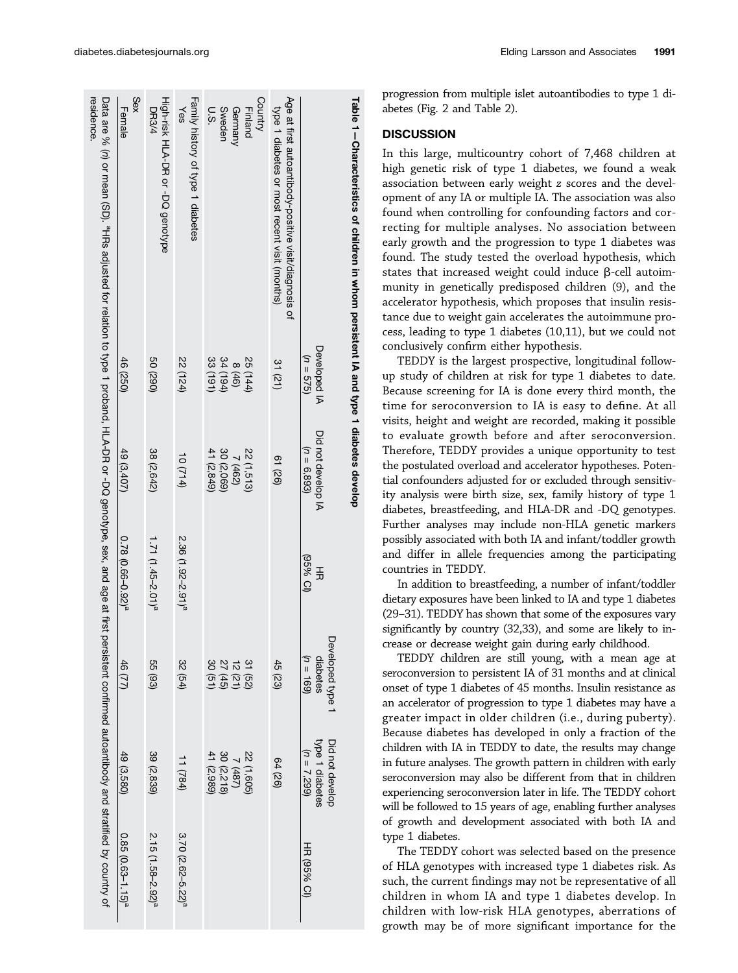|  |  |  | Elding Larsson and Associates | 1991 |
|--|--|--|-------------------------------|------|
|--|--|--|-------------------------------|------|

| Table 1-Characteristics of children in Khon motivities of diabetes developed                                                                                                                   |                             |                                      |                                 |                                              |                                                     |                               |
|------------------------------------------------------------------------------------------------------------------------------------------------------------------------------------------------|-----------------------------|--------------------------------------|---------------------------------|----------------------------------------------|-----------------------------------------------------|-------------------------------|
|                                                                                                                                                                                                | Developed IA<br>$(7 = 575)$ | Did not develop IA<br>$(n = 6, 893)$ | (IC % S6)<br>于<br>元             | Developed type 1<br>$(10 = 169)$<br>diabetes | Did not develop<br>type 1 diabetes<br>$(n = 7,299)$ | HR (95% CI)                   |
| Age at first autoantibody-positive visit/diagnosis of<br>type 1 diabetes or most recent visit (months)                                                                                         | 31(21)                      | 61 (26)                              |                                 | 45 (23)                                      | 64 (26)                                             |                               |
| Country<br><b>Finland</b>                                                                                                                                                                      | 25 (144)                    | 22 (1,513)                           |                                 |                                              | $(509, 1)$ 22                                       |                               |
| Sweden<br>Germany                                                                                                                                                                              | 34(194)<br>8(46)            | 30 (2,069)<br>7(462)                 |                                 | 31 (52)<br>12 (21)<br>27 (45)                | $7 (487)$<br>30 (2,218)                             |                               |
| U.S.                                                                                                                                                                                           | 33 (191)                    | 41 (2,849)                           |                                 | 30 (51)                                      | 41 (2,989)                                          |                               |
| Family history of type 1 diabetes<br>Yes                                                                                                                                                       | 22 (124)                    | (0(714)                              | 2.36 (1.92-2.91) <sup>a</sup>   | 32 (54)                                      | (11 (784))                                          | 3.70 (2.62-5.22) <sup>a</sup> |
| High-risk HLA-DB or -DQ genotybe<br><b>DR3/4</b>                                                                                                                                               | (062) 09                    | 38 (2,642)                           | 1.71 (1.45–2.01) <sup>a</sup>   | 55 (93)                                      | 39 (2,839)                                          | 2.15 (1.58-2.92) <sup>a</sup> |
| Sex<br>Female                                                                                                                                                                                  | 46 (250)                    | 49(3,407)                            | $0.78$ (0.66-0.92) <sup>a</sup> | 46(77)                                       | 49 (3,580)                                          | $0.85(0.63 - 1.15)a$          |
| residence.<br>Data are % (n) or mean (SD). "HRs adjusted for relation to type 1 probard, HLA-DR or -DQ genotype, sex, and age at first persistent confirmed automoly and strated by country of |                             |                                      |                                 |                                              |                                                     |                               |

progression from multiple islet autoantibodies to type 1 diabetes (Fig. 2 and Table 2).

## **DISCUSSION**

In this large, multicountry cohort of 7,468 children at high genetic risk of type 1 diabetes, we found a weak association between early weight z scores and the development of any IA or multiple IA. The association was also found when controlling for confounding factors and correcting for multiple analyses. No association between early growth and the progression to type 1 diabetes was found. The study tested the overload hypothesis, which states that increased weight could induce  $\beta$ -cell autoimmunity in genetically predisposed children (9), and the accelerator hypothesis, which proposes that insulin resistance due to weight gain accelerates the autoimmune process, leading to type 1 diabetes (10,11), but we could not conclusively confirm either hypothesis.

TEDDY is the largest prospective, longitudinal followup study of children at risk for type 1 diabetes to date. Because screening for IA is done every third month, the time for seroconversion to IA is easy to define. At all visits, height and weight are recorded, making it possible to evaluate growth before and after seroconversion. Therefore, TEDDY provides a unique opportunity to test the postulated overload and accelerator hypotheses. Potential confounders adjusted for or excluded through sensitivity analysis were birth size, sex, family history of type 1 diabetes, breastfeeding, and HLA-DR and -DQ genotypes. Further analyses may include non-HLA genetic markers possibly associated with both IA and infant/toddler growth and differ in allele frequencies among the participating countries in TEDDY.

In addition to breastfeeding, a number of infant/toddler dietary exposures have been linked to IA and type 1 diabetes (29–31). TEDDY has shown that some of the exposures vary significantly by country (32,33), and some are likely to increase or decrease weight gain during early childhood.

TEDDY children are still young, with a mean age at seroconversion to persistent IA of 31 months and at clinical onset of type 1 diabetes of 45 months. Insulin resistance as an accelerator of progression to type 1 diabetes may have a greater impact in older children (i.e., during puberty). Because diabetes has developed in only a fraction of the children with IA in TEDDY to date, the results may change in future analyses. The growth pattern in children with early seroconversion may also be different from that in children experiencing seroconversion later in life. The TEDDY cohort will be followed to 15 years of age, enabling further analyses of growth and development associated with both IA and type 1 diabetes.

The TEDDY cohort was selected based on the presence of HLA genotypes with increased type 1 diabetes risk. As such, the current findings may not be representative of all children in whom IA and type 1 diabetes develop. In children with low-risk HLA genotypes, aberrations of growth may be of more significant importance for the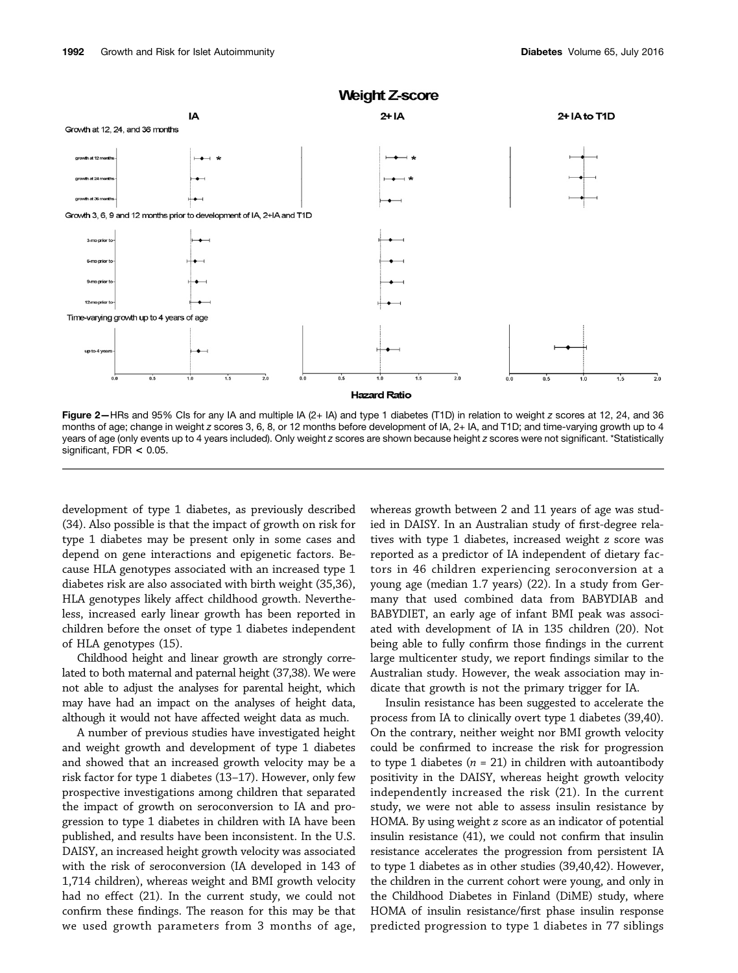

Figure 2-HRs and 95% CIs for any IA and multiple IA (2+ IA) and type 1 diabetes (T1D) in relation to weight z scores at 12, 24, and 36 months of age; change in weight z scores 3, 6, 8, or 12 months before development of IA, 2+ IA, and T1D; and time-varying growth up to 4 years of age (only events up to 4 years included). Only weight z scores are shown because height z scores were not significant. \*Statistically significant, FDR < 0.05.

development of type 1 diabetes, as previously described (34). Also possible is that the impact of growth on risk for type 1 diabetes may be present only in some cases and depend on gene interactions and epigenetic factors. Because HLA genotypes associated with an increased type 1 diabetes risk are also associated with birth weight (35,36), HLA genotypes likely affect childhood growth. Nevertheless, increased early linear growth has been reported in children before the onset of type 1 diabetes independent of HLA genotypes (15).

Childhood height and linear growth are strongly correlated to both maternal and paternal height (37,38). We were not able to adjust the analyses for parental height, which may have had an impact on the analyses of height data, although it would not have affected weight data as much.

A number of previous studies have investigated height and weight growth and development of type 1 diabetes and showed that an increased growth velocity may be a risk factor for type 1 diabetes (13–17). However, only few prospective investigations among children that separated the impact of growth on seroconversion to IA and progression to type 1 diabetes in children with IA have been published, and results have been inconsistent. In the U.S. DAISY, an increased height growth velocity was associated with the risk of seroconversion (IA developed in 143 of 1,714 children), whereas weight and BMI growth velocity had no effect (21). In the current study, we could not confirm these findings. The reason for this may be that we used growth parameters from 3 months of age,

whereas growth between 2 and 11 years of age was studied in DAISY. In an Australian study of first-degree relatives with type 1 diabetes, increased weight z score was reported as a predictor of IA independent of dietary factors in 46 children experiencing seroconversion at a young age (median 1.7 years) (22). In a study from Germany that used combined data from BABYDIAB and BABYDIET, an early age of infant BMI peak was associated with development of IA in 135 children (20). Not being able to fully confirm those findings in the current large multicenter study, we report findings similar to the Australian study. However, the weak association may indicate that growth is not the primary trigger for IA.

Insulin resistance has been suggested to accelerate the process from IA to clinically overt type 1 diabetes (39,40). On the contrary, neither weight nor BMI growth velocity could be confirmed to increase the risk for progression to type 1 diabetes ( $n = 21$ ) in children with autoantibody positivity in the DAISY, whereas height growth velocity independently increased the risk (21). In the current study, we were not able to assess insulin resistance by HOMA. By using weight z score as an indicator of potential insulin resistance (41), we could not confirm that insulin resistance accelerates the progression from persistent IA to type 1 diabetes as in other studies (39,40,42). However, the children in the current cohort were young, and only in the Childhood Diabetes in Finland (DiME) study, where HOMA of insulin resistance/first phase insulin response predicted progression to type 1 diabetes in 77 siblings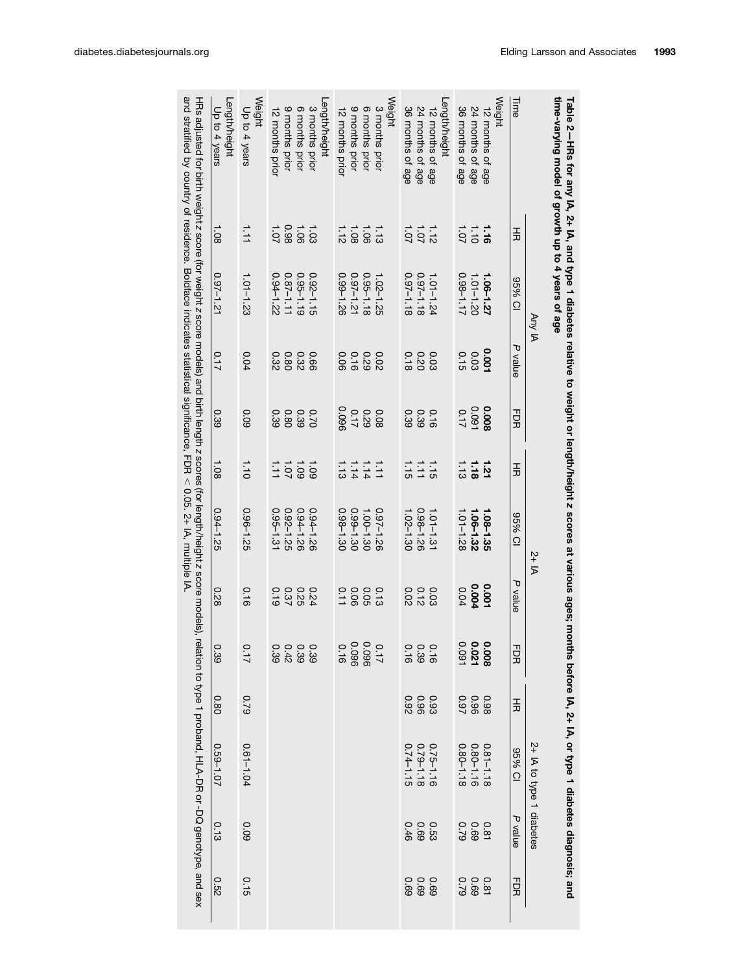| and stratified by country of residence. Boldrace indicates statistical significance, FDR ∧ 0.05. 2+ D, multiple N.<br>HRs adjusted for birth weight z score (for weight z score models) and birth length z scores (for length/height z score models), relation to type 1 proband, HLA-DR or -DQ genotype, and sex | Length/height<br>Up to 4 years | Weight<br>Up to 4 years | 12 months prior | 9 months prior | 6 months prior | -ength/height<br>3 months prior | 12 months prior          | 9 months prior | 6 months prior                                                                                                      | Weight<br>3 months prior | 36 months of age                                                 | 24 months of age | Length/height<br>12 months of age | 36 months of age           | 24 months of age                                           | Weight<br>12 months of age                                               | Time                   |                          | time-varying model of growth up to 4 years of age |
|-------------------------------------------------------------------------------------------------------------------------------------------------------------------------------------------------------------------------------------------------------------------------------------------------------------------|--------------------------------|-------------------------|-----------------|----------------|----------------|---------------------------------|--------------------------|----------------|---------------------------------------------------------------------------------------------------------------------|--------------------------|------------------------------------------------------------------|------------------|-----------------------------------|----------------------------|------------------------------------------------------------|--------------------------------------------------------------------------|------------------------|--------------------------|---------------------------------------------------|
|                                                                                                                                                                                                                                                                                                                   | 1.08                           | $\equiv$                | 10.1            | 0.98           | $-1.06$        | 1.03                            | $1.38$<br>$1.1$<br>$1.1$ |                |                                                                                                                     | 1.13                     | 3371                                                             |                  |                                   |                            | $\frac{1}{10}$ : 1<br>$\frac{1}{10}$ : 1<br>$\frac{1}{10}$ |                                                                          | 玉                      |                          |                                                   |
|                                                                                                                                                                                                                                                                                                                   | 121-121                        | $1.01 - 1.23$           | $0.94 - 1.22$   | $0.87 - 1.11$  | $0.95 - 1.19$  | $0.92 - 1.15$                   | 0.99-1.26                | $0.97 - 1.21$  | $0.95 - 1.18$                                                                                                       | 1.02-1.25                | 81'1-18                                                          | 0.97-1.18        | 1.01-1.24                         | $1.01 - 1.20$<br>0.98-1.17 |                                                            | 1.06-1.27                                                                | IO % 96                | Any IA                   |                                                   |
|                                                                                                                                                                                                                                                                                                                   | 717                            | 0.04                    | 0.32            | 0.80           | 0.32           | 99'0                            |                          |                | 0 0 0 0<br>0 3 4 0 0<br>0 0 0 0                                                                                     |                          | $0.20$<br>0.18                                                   |                  | 0.03                              |                            | 0.03                                                       | 100'0                                                                    | P value                |                          |                                                   |
|                                                                                                                                                                                                                                                                                                                   | 0.39                           | 600                     | 0.39            | 0.80           | 0.39           | 0.70                            | 0.096                    | 71.0           | 0.08<br>0.29                                                                                                        |                          | 0.16<br>0.39<br>0.39                                             |                  |                                   | 0.17                       | 0.008                                                      |                                                                          | РDR                    |                          |                                                   |
|                                                                                                                                                                                                                                                                                                                   | 1.08                           | 1.10                    | $1101$<br>$101$ |                |                | 1.09                            |                          |                | $\frac{1}{1}$<br>$\frac{1}{1}$<br>$\frac{1}{1}$<br>$\frac{1}{1}$<br>$\frac{1}{1}$<br>$\frac{1}{1}$<br>$\frac{1}{1}$ |                          | $\frac{1}{1} \div \frac{1}{1}$<br>$\frac{1}{1} \div \frac{1}{1}$ |                  |                                   |                            | $\frac{1}{1.13}$                                           | <b>ئة</b>                                                                | 玉                      |                          |                                                   |
|                                                                                                                                                                                                                                                                                                                   | $0.94 - 1.25$                  | $0.96 - 1.25$           | $0.95 - 1.31$   | $0.92 - 1.25$  | 0.94-1.26      | $0.94 - 1.26$                   | $0.98 - 1.30$            | $0.99 - 1.30$  | 1.00-1.30                                                                                                           | 0.97-1.26                | 1.02-1.30                                                        | $0.98 - 1.26$    | 1.01-1.31                         | 1.01-1.28                  | 1.06-1.32                                                  | 1.08-1.35                                                                | 965%<br>$\overline{O}$ | $2+RA$                   |                                                   |
|                                                                                                                                                                                                                                                                                                                   | 820                            | 0.16                    | 0.19            | 0.25           |                | 0.24                            |                          |                |                                                                                                                     |                          |                                                                  |                  |                                   | 0.04                       | 0.001<br>0.004                                             |                                                                          | P value                |                          |                                                   |
|                                                                                                                                                                                                                                                                                                                   | 39                             |                         | 38878           |                |                |                                 | $-1.6$                   |                | 0.096<br>0.096                                                                                                      | 11'                      | 1.89                                                             |                  |                                   |                            | 0.008<br>0.021<br>0.091                                    |                                                                          | 맆                      |                          |                                                   |
|                                                                                                                                                                                                                                                                                                                   | 0.80                           | 62.0                    |                 |                |                |                                 |                          |                |                                                                                                                     |                          |                                                                  |                  |                                   |                            | $0.980$<br>$0.970$                                         |                                                                          | 玉                      |                          |                                                   |
|                                                                                                                                                                                                                                                                                                                   | 70.1-650                       | 0.61-1.04               |                 |                |                |                                 |                          |                |                                                                                                                     |                          | $0.75 - 1.16$<br>0.79-1.18<br>0.74-1.15                          |                  |                                   |                            |                                                            | $\begin{array}{c} 0.81 - 1.18 \\ 0.80 - 1.16 \\ 0.80 - 1.18 \end{array}$ | 10 % 96                | 2+ IA to type 1 diabetes |                                                   |
|                                                                                                                                                                                                                                                                                                                   | 0.13                           | 60'0                    |                 |                |                |                                 |                          |                |                                                                                                                     |                          | $0.59$<br>$0.69$<br>$0.46$                                       |                  |                                   |                            | $0.81$<br>$0.08$<br>$0.79$                                 |                                                                          | P value                |                          |                                                   |
|                                                                                                                                                                                                                                                                                                                   | <b>0.52</b>                    | 0.15                    |                 |                |                |                                 |                          |                |                                                                                                                     |                          |                                                                  |                  |                                   |                            |                                                            |                                                                          | <b>HDR</b>             |                          |                                                   |

Table 2 玉<br>공 for any IA, 2+ IA, and type 1 diabetes relative to weight or length/height N scores $\frac{a}{4}$  various ages; months before IA, 2+ IA, or type 1 diabetesdiagnosis;and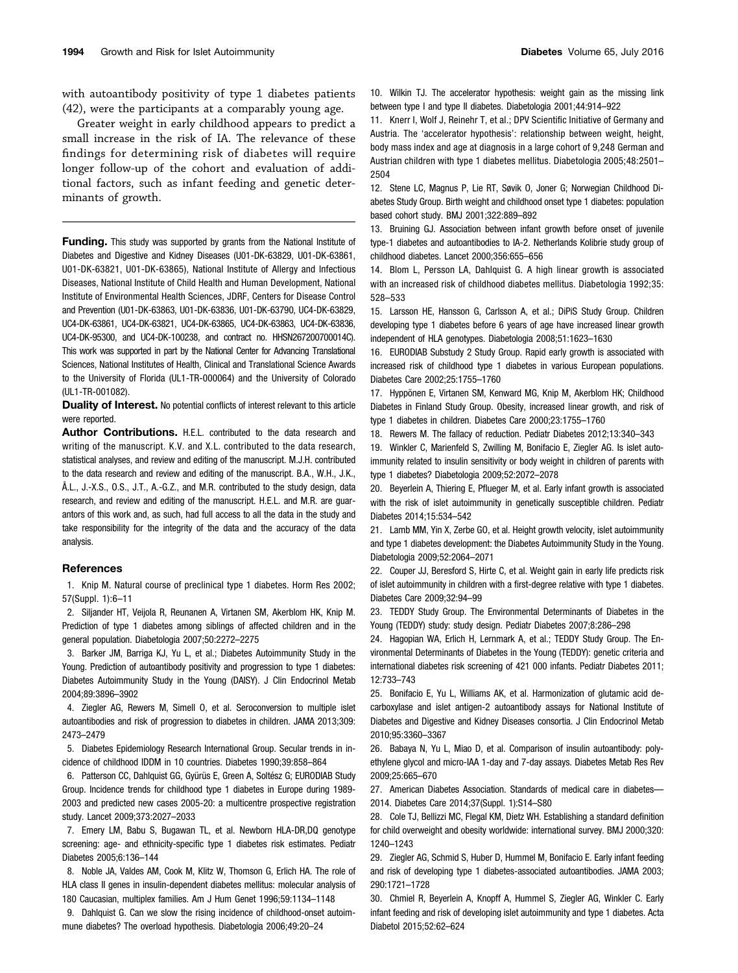with autoantibody positivity of type 1 diabetes patients (42), were the participants at a comparably young age.

Greater weight in early childhood appears to predict a small increase in the risk of IA. The relevance of these findings for determining risk of diabetes will require longer follow-up of the cohort and evaluation of additional factors, such as infant feeding and genetic determinants of growth.

Funding. This study was supported by grants from the National Institute of Diabetes and Digestive and Kidney Diseases (U01-DK-63829, U01-DK-63861, U01-DK-63821, U01-DK-63865), National Institute of Allergy and Infectious Diseases, National Institute of Child Health and Human Development, National Institute of Environmental Health Sciences, JDRF, Centers for Disease Control and Prevention (U01-DK-63863, U01-DK-63836, U01-DK-63790, UC4-DK-63829, UC4-DK-63861, UC4-DK-63821, UC4-DK-63865, UC4-DK-63863, UC4-DK-63836, UC4-DK-95300, and UC4-DK-100238, and contract no. HHSN267200700014C). This work was supported in part by the National Center for Advancing Translational Sciences, National Institutes of Health, Clinical and Translational Science Awards to the University of Florida (UL1-TR-000064) and the University of Colorado (UL1-TR-001082).

**Duality of Interest.** No potential conflicts of interest relevant to this article were reported.

Author Contributions. H.E.L. contributed to the data research and writing of the manuscript. K.V. and X.L. contributed to the data research, statistical analyses, and review and editing of the manuscript. M.J.H. contributed to the data research and review and editing of the manuscript. B.A., W.H., J.K., Å.L., J.-X.S., O.S., J.T., A.-G.Z., and M.R. contributed to the study design, data research, and review and editing of the manuscript. H.E.L. and M.R. are guarantors of this work and, as such, had full access to all the data in the study and take responsibility for the integrity of the data and the accuracy of the data analysis.

#### References

1. Knip M. Natural course of preclinical type 1 diabetes. Horm Res 2002; 57(Suppl. 1):6–11

2. Siljander HT, Veijola R, Reunanen A, Virtanen SM, Akerblom HK, Knip M. Prediction of type 1 diabetes among siblings of affected children and in the general population. Diabetologia 2007;50:2272–2275

3. Barker JM, Barriga KJ, Yu L, et al.; Diabetes Autoimmunity Study in the Young. Prediction of autoantibody positivity and progression to type 1 diabetes: Diabetes Autoimmunity Study in the Young (DAISY). J Clin Endocrinol Metab 2004;89:3896–3902

4. Ziegler AG, Rewers M, Simell O, et al. Seroconversion to multiple islet autoantibodies and risk of progression to diabetes in children. JAMA 2013;309: 2473–2479

5. Diabetes Epidemiology Research International Group. Secular trends in incidence of childhood IDDM in 10 countries. Diabetes 1990;39:858–864

6. Patterson CC, Dahlquist GG, Gyürüs E, Green A, Soltész G; EURODIAB Study Group. Incidence trends for childhood type 1 diabetes in Europe during 1989- 2003 and predicted new cases 2005-20: a multicentre prospective registration study. Lancet 2009;373:2027–2033

7. Emery LM, Babu S, Bugawan TL, et al. Newborn HLA-DR,DQ genotype screening: age- and ethnicity-specific type 1 diabetes risk estimates. Pediatr Diabetes 2005;6:136–144

8. Noble JA, Valdes AM, Cook M, Klitz W, Thomson G, Erlich HA. The role of HLA class II genes in insulin-dependent diabetes mellitus: molecular analysis of 180 Caucasian, multiplex families. Am J Hum Genet 1996;59:1134–1148

9. Dahlquist G. Can we slow the rising incidence of childhood-onset autoimmune diabetes? The overload hypothesis. Diabetologia 2006;49:20–24

11. Knerr I, Wolf J, Reinehr T, et al.; DPV Scientific Initiative of Germany and Austria. The 'accelerator hypothesis': relationship between weight, height, body mass index and age at diagnosis in a large cohort of 9,248 German and Austrian children with type 1 diabetes mellitus. Diabetologia 2005;48:2501– 2504

12. Stene LC, Magnus P, Lie RT, Søvik O, Joner G; Norwegian Childhood Diabetes Study Group. Birth weight and childhood onset type 1 diabetes: population based cohort study. BMJ 2001;322:889–892

13. Bruining GJ. Association between infant growth before onset of juvenile type-1 diabetes and autoantibodies to IA-2. Netherlands Kolibrie study group of childhood diabetes. Lancet 2000;356:655–656

14. Blom L, Persson LA, Dahlquist G. A high linear growth is associated with an increased risk of childhood diabetes mellitus. Diabetologia 1992;35: 528–533

15. Larsson HE, Hansson G, Carlsson A, et al.; DiPiS Study Group. Children developing type 1 diabetes before 6 years of age have increased linear growth independent of HLA genotypes. Diabetologia 2008;51:1623–1630

16. EURODIAB Substudy 2 Study Group. Rapid early growth is associated with increased risk of childhood type 1 diabetes in various European populations. Diabetes Care 2002;25:1755–1760

17. Hyppönen E, Virtanen SM, Kenward MG, Knip M, Akerblom HK; Childhood Diabetes in Finland Study Group. Obesity, increased linear growth, and risk of type 1 diabetes in children. Diabetes Care 2000;23:1755–1760

18. Rewers M. The fallacy of reduction. Pediatr Diabetes 2012;13:340–343

19. Winkler C, Marienfeld S, Zwilling M, Bonifacio E, Ziegler AG. Is islet autoimmunity related to insulin sensitivity or body weight in children of parents with type 1 diabetes? Diabetologia 2009;52:2072–2078

20. Beyerlein A, Thiering E, Pflueger M, et al. Early infant growth is associated with the risk of islet autoimmunity in genetically susceptible children. Pediatr Diabetes 2014;15:534–542

21. Lamb MM, Yin X, Zerbe GO, et al. Height growth velocity, islet autoimmunity and type 1 diabetes development: the Diabetes Autoimmunity Study in the Young. Diabetologia 2009;52:2064–2071

22. Couper JJ, Beresford S, Hirte C, et al. Weight gain in early life predicts risk of islet autoimmunity in children with a first-degree relative with type 1 diabetes. Diabetes Care 2009;32:94–99

23. TEDDY Study Group. The Environmental Determinants of Diabetes in the Young (TEDDY) study: study design. Pediatr Diabetes 2007;8:286–298

24. Hagopian WA, Erlich H, Lernmark A, et al.; TEDDY Study Group. The Environmental Determinants of Diabetes in the Young (TEDDY): genetic criteria and international diabetes risk screening of 421 000 infants. Pediatr Diabetes 2011; 12:733–743

25. Bonifacio E, Yu L, Williams AK, et al. Harmonization of glutamic acid decarboxylase and islet antigen-2 autoantibody assays for National Institute of Diabetes and Digestive and Kidney Diseases consortia. J Clin Endocrinol Metab 2010;95:3360–3367

26. Babaya N, Yu L, Miao D, et al. Comparison of insulin autoantibody: polyethylene glycol and micro-IAA 1-day and 7-day assays. Diabetes Metab Res Rev 2009;25:665–670

27. American Diabetes Association. Standards of medical care in diabetes— 2014. Diabetes Care 2014;37(Suppl. 1):S14–S80

28. Cole TJ, Bellizzi MC, Flegal KM, Dietz WH. Establishing a standard definition for child overweight and obesity worldwide: international survey. BMJ 2000;320: 1240–1243

29. Ziegler AG, Schmid S, Huber D, Hummel M, Bonifacio E. Early infant feeding and risk of developing type 1 diabetes-associated autoantibodies. JAMA 2003; 290:1721–1728

30. Chmiel R, Beyerlein A, Knopff A, Hummel S, Ziegler AG, Winkler C. Early infant feeding and risk of developing islet autoimmunity and type 1 diabetes. Acta Diabetol 2015;52:62–624